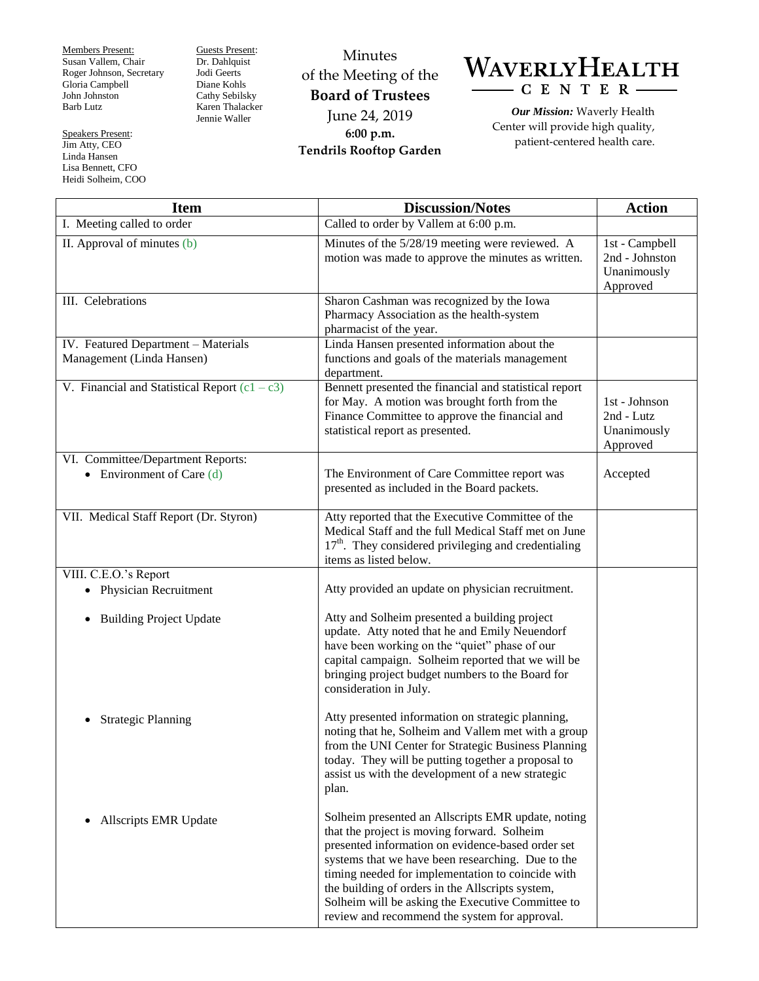Members Present: Susan Vallem, Chair Roger Johnson, Secretary Gloria Campbell John Johnston Barb Lutz

Speakers Present: Jim Atty, CEO Linda Hansen Lisa Bennett, CFO Heidi Solheim, COO Guests Present: Dr. Dahlquist Jodi Geerts Diane Kohls Cathy Sebilsky Karen Thalacker Jennie Waller

Minutes of the Meeting of the **Board of Trustees** June 24, 2019 **6:00 p.m. Tendrils Rooftop Garden**

WAVERLYHEALTH  $-C E N T E R$ 

*Our Mission:* Waverly Health Center will provide high quality, patient-centered health care.

| <b>Item</b>                                                      | <b>Discussion/Notes</b>                                                                                                                                                                                                                                                                                                                                                                                                    | <b>Action</b>                                               |
|------------------------------------------------------------------|----------------------------------------------------------------------------------------------------------------------------------------------------------------------------------------------------------------------------------------------------------------------------------------------------------------------------------------------------------------------------------------------------------------------------|-------------------------------------------------------------|
| I. Meeting called to order                                       | Called to order by Vallem at $\overline{6:00 \text{ p.m.}}$                                                                                                                                                                                                                                                                                                                                                                |                                                             |
| II. Approval of minutes (b)                                      | Minutes of the 5/28/19 meeting were reviewed. A<br>motion was made to approve the minutes as written.                                                                                                                                                                                                                                                                                                                      | 1st - Campbell<br>2nd - Johnston<br>Unanimously<br>Approved |
| III. Celebrations                                                | Sharon Cashman was recognized by the Iowa<br>Pharmacy Association as the health-system<br>pharmacist of the year.                                                                                                                                                                                                                                                                                                          |                                                             |
| IV. Featured Department - Materials<br>Management (Linda Hansen) | Linda Hansen presented information about the<br>functions and goals of the materials management<br>department.                                                                                                                                                                                                                                                                                                             |                                                             |
| V. Financial and Statistical Report $(c1 - c3)$                  | Bennett presented the financial and statistical report<br>for May. A motion was brought forth from the<br>Finance Committee to approve the financial and<br>statistical report as presented.                                                                                                                                                                                                                               | 1st - Johnson<br>2nd - Lutz<br>Unanimously<br>Approved      |
| VI. Committee/Department Reports:<br>• Environment of Care $(d)$ | The Environment of Care Committee report was<br>presented as included in the Board packets.                                                                                                                                                                                                                                                                                                                                | Accepted                                                    |
| VII. Medical Staff Report (Dr. Styron)                           | Atty reported that the Executive Committee of the<br>Medical Staff and the full Medical Staff met on June<br>$17th$ . They considered privileging and credentialing<br>items as listed below.                                                                                                                                                                                                                              |                                                             |
| VIII. C.E.O.'s Report                                            |                                                                                                                                                                                                                                                                                                                                                                                                                            |                                                             |
| • Physician Recruitment                                          | Atty provided an update on physician recruitment.                                                                                                                                                                                                                                                                                                                                                                          |                                                             |
| <b>Building Project Update</b><br>$\bullet$                      | Atty and Solheim presented a building project<br>update. Atty noted that he and Emily Neuendorf<br>have been working on the "quiet" phase of our<br>capital campaign. Solheim reported that we will be<br>bringing project budget numbers to the Board for<br>consideration in July.                                                                                                                                       |                                                             |
| <b>Strategic Planning</b>                                        | Atty presented information on strategic planning,<br>noting that he, Solheim and Vallem met with a group<br>from the UNI Center for Strategic Business Planning<br>today. They will be putting together a proposal to<br>assist us with the development of a new strategic<br>plan.                                                                                                                                        |                                                             |
| Allscripts EMR Update<br>٠                                       | Solheim presented an Allscripts EMR update, noting<br>that the project is moving forward. Solheim<br>presented information on evidence-based order set<br>systems that we have been researching. Due to the<br>timing needed for implementation to coincide with<br>the building of orders in the Allscripts system,<br>Solheim will be asking the Executive Committee to<br>review and recommend the system for approval. |                                                             |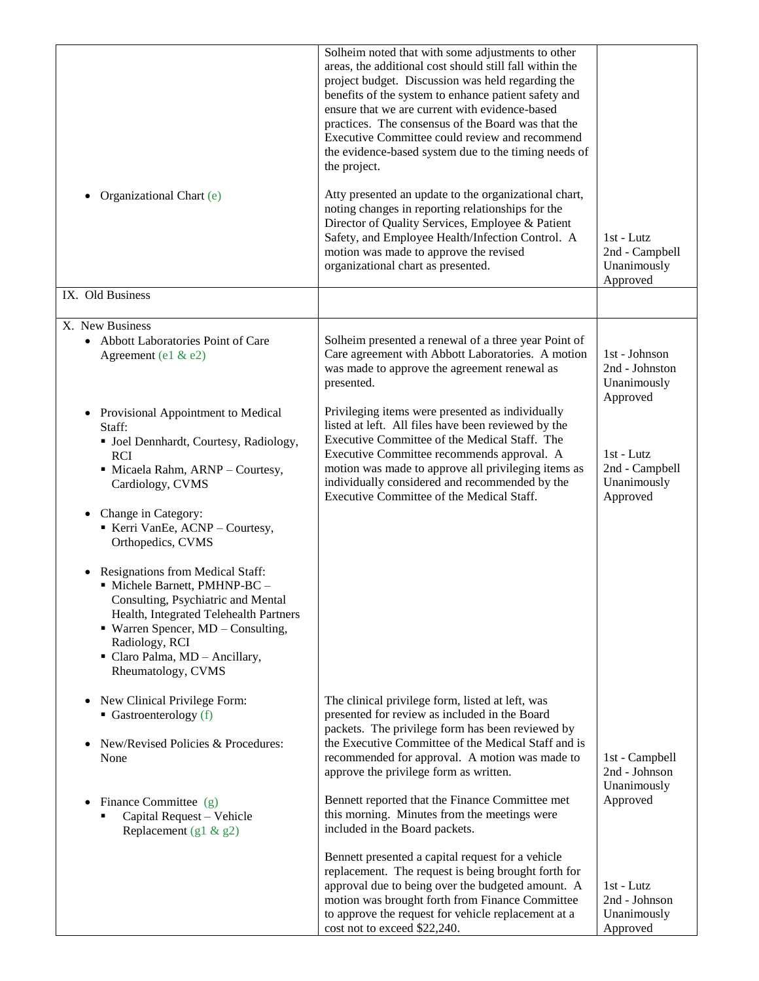|                                                                                                                                                                                                                                                               | Solheim noted that with some adjustments to other<br>areas, the additional cost should still fall within the<br>project budget. Discussion was held regarding the<br>benefits of the system to enhance patient safety and<br>ensure that we are current with evidence-based<br>practices. The consensus of the Board was that the<br>Executive Committee could review and recommend<br>the evidence-based system due to the timing needs of<br>the project. |                                                            |
|---------------------------------------------------------------------------------------------------------------------------------------------------------------------------------------------------------------------------------------------------------------|-------------------------------------------------------------------------------------------------------------------------------------------------------------------------------------------------------------------------------------------------------------------------------------------------------------------------------------------------------------------------------------------------------------------------------------------------------------|------------------------------------------------------------|
| Organizational Chart (e)<br>٠                                                                                                                                                                                                                                 | Atty presented an update to the organizational chart,<br>noting changes in reporting relationships for the<br>Director of Quality Services, Employee & Patient<br>Safety, and Employee Health/Infection Control. A<br>motion was made to approve the revised<br>organizational chart as presented.                                                                                                                                                          | 1st - Lutz<br>2nd - Campbell<br>Unanimously<br>Approved    |
| IX. Old Business                                                                                                                                                                                                                                              |                                                                                                                                                                                                                                                                                                                                                                                                                                                             |                                                            |
| X. New Business<br>• Abbott Laboratories Point of Care<br>Agreement (e1 & e2)                                                                                                                                                                                 | Solheim presented a renewal of a three year Point of<br>Care agreement with Abbott Laboratories. A motion<br>was made to approve the agreement renewal as<br>presented.                                                                                                                                                                                                                                                                                     | 1st - Johnson<br>2nd - Johnston<br>Unanimously<br>Approved |
| Provisional Appointment to Medical<br>$\bullet$<br>Staff:<br>· Joel Dennhardt, Courtesy, Radiology,<br><b>RCI</b><br>· Micaela Rahm, ARNP - Courtesy,<br>Cardiology, CVMS                                                                                     | Privileging items were presented as individually<br>listed at left. All files have been reviewed by the<br>Executive Committee of the Medical Staff. The<br>Executive Committee recommends approval. A<br>motion was made to approve all privileging items as<br>individually considered and recommended by the<br>Executive Committee of the Medical Staff.                                                                                                | 1st - Lutz<br>2nd - Campbell<br>Unanimously<br>Approved    |
| Change in Category:<br>$\bullet$<br>Kerri VanEe, ACNP - Courtesy,<br>Orthopedics, CVMS                                                                                                                                                                        |                                                                                                                                                                                                                                                                                                                                                                                                                                                             |                                                            |
| Resignations from Medical Staff:<br>Michele Barnett, PMHNP-BC -<br>Consulting, Psychiatric and Mental<br>Health, Integrated Telehealth Partners<br>• Warren Spencer, MD - Consulting,<br>Radiology, RCI<br>Claro Palma, MD - Ancillary,<br>Rheumatology, CVMS |                                                                                                                                                                                                                                                                                                                                                                                                                                                             |                                                            |
| New Clinical Privilege Form:<br>٠<br>Gastroenterology $(f)$<br>New/Revised Policies & Procedures:<br>None                                                                                                                                                     | The clinical privilege form, listed at left, was<br>presented for review as included in the Board<br>packets. The privilege form has been reviewed by<br>the Executive Committee of the Medical Staff and is<br>recommended for approval. A motion was made to<br>approve the privilege form as written.                                                                                                                                                    | 1st - Campbell<br>2nd - Johnson                            |
| Finance Committee (g)<br>$\bullet$<br>Capital Request - Vehicle<br>Replacement $(g1 \& g2)$                                                                                                                                                                   | Bennett reported that the Finance Committee met<br>this morning. Minutes from the meetings were<br>included in the Board packets.                                                                                                                                                                                                                                                                                                                           | Unanimously<br>Approved                                    |
|                                                                                                                                                                                                                                                               | Bennett presented a capital request for a vehicle<br>replacement. The request is being brought forth for<br>approval due to being over the budgeted amount. A<br>motion was brought forth from Finance Committee<br>to approve the request for vehicle replacement at a<br>cost not to exceed \$22,240.                                                                                                                                                     | 1st - Lutz<br>2nd - Johnson<br>Unanimously<br>Approved     |